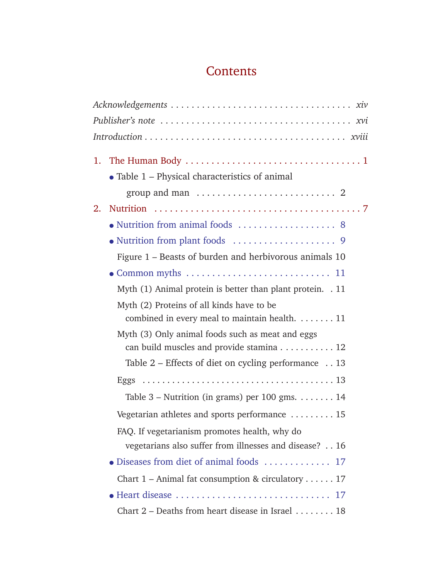## **Contents**

|    | $\bullet$ Table 1 – Physical characteristics of animal               |
|----|----------------------------------------------------------------------|
|    |                                                                      |
| 2. |                                                                      |
|    |                                                                      |
|    |                                                                      |
|    | Figure 1 – Beasts of burden and herbivorous animals 10               |
|    |                                                                      |
|    | Myth (1) Animal protein is better than plant protein. . 11           |
|    | Myth (2) Proteins of all kinds have to be                            |
|    | combined in every meal to maintain health. 11                        |
|    | Myth (3) Only animal foods such as meat and eggs                     |
|    | can build muscles and provide stamina 12                             |
|    | Table $2$ – Effects of diet on cycling performance $\ldots$ 13       |
|    |                                                                      |
|    | Table 3 – Nutrition (in grams) per 100 gms. $\dots \dots 14$         |
|    | Vegetarian athletes and sports performance $\ldots \ldots \ldots 15$ |
|    | FAQ. If vegetarianism promotes health, why do                        |
|    | vegetarians also suffer from illnesses and disease? 16               |
|    |                                                                      |
|    | Chart $1$ – Animal fat consumption & circulatory 17                  |
|    |                                                                      |
|    | Chart $2$ – Deaths from heart disease in Israel $\dots \dots 18$     |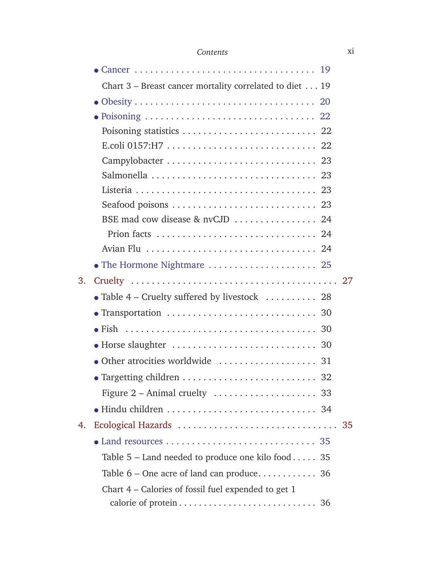## *Contents* xi

|    | Chart $3$ – Breast cancer mortality correlated to diet 19           |
|----|---------------------------------------------------------------------|
|    |                                                                     |
|    |                                                                     |
|    |                                                                     |
|    |                                                                     |
|    |                                                                     |
|    | Salmonella  23                                                      |
|    |                                                                     |
|    | Seafood poisons  23                                                 |
|    | BSE mad cow disease & nvCJD  24                                     |
|    | Prion facts  24                                                     |
|    |                                                                     |
|    | • The Hormone Nightmare $\dots\dots\dots\dots\dots\dots\dots$ 25    |
| 3. |                                                                     |
|    | • Table 4 – Cruelty suffered by livestock $\ldots \ldots \ldots$ 28 |
|    |                                                                     |
|    |                                                                     |
|    |                                                                     |
|    | • Other atrocities worldwide  31                                    |
|    |                                                                     |
|    |                                                                     |
|    |                                                                     |
| 4. |                                                                     |
|    |                                                                     |
|    | Table $5$ – Land needed to produce one kilo food 35                 |
|    |                                                                     |
|    | Chart 4 – Calories of fossil fuel expended to get 1                 |
|    |                                                                     |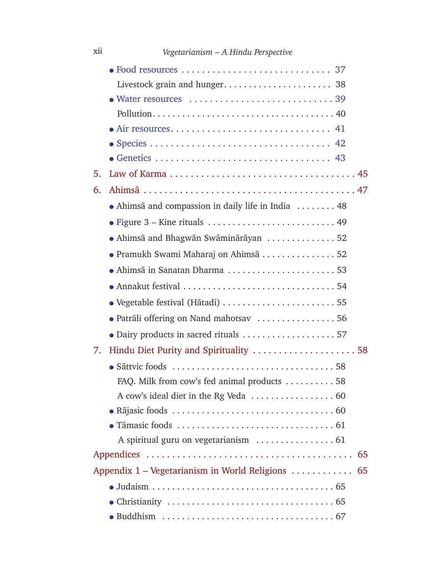| 5. |                                                                 |  |
|----|-----------------------------------------------------------------|--|
| 6. |                                                                 |  |
|    | • Ahimsã and compassion in daily life in India  48              |  |
|    |                                                                 |  |
|    | • Ahimsã and Bhagwãn Swãminãrãyan 52                            |  |
|    | • Pramukh Swami Maharaj on Ahimsã 52                            |  |
|    |                                                                 |  |
|    |                                                                 |  |
|    |                                                                 |  |
|    | · Patrãli offering on Nand mahotsav  56                         |  |
|    |                                                                 |  |
| 7. |                                                                 |  |
|    |                                                                 |  |
|    | FAQ. Milk from cow's fed animal products $\dots \dots \dots 58$ |  |
|    |                                                                 |  |
|    |                                                                 |  |
|    |                                                                 |  |
|    |                                                                 |  |
|    | 65                                                              |  |
|    | Appendix 1 – Vegetarianism in World Religions  65               |  |
|    |                                                                 |  |
|    |                                                                 |  |
|    |                                                                 |  |